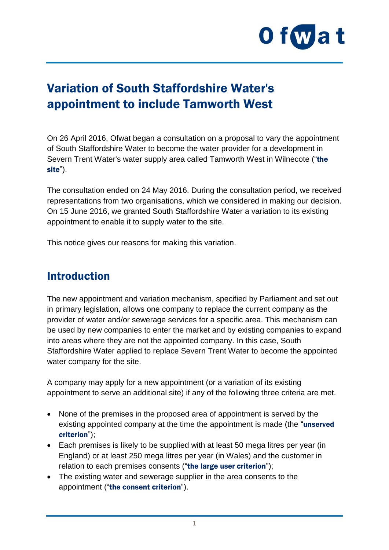

# Variation of South Staffordshire Water's appointment to include Tamworth West

On 26 April 2016, Ofwat began a consultation on a proposal to vary the appointment of South Staffordshire Water to become the water provider for a development in Severn Trent Water's water supply area called Tamworth West in Wilnecote ("the site").

The consultation ended on 24 May 2016. During the consultation period, we received representations from two organisations, which we considered in making our decision. On 15 June 2016, we granted South Staffordshire Water a variation to its existing appointment to enable it to supply water to the site.

This notice gives our reasons for making this variation.

## Introduction

The new appointment and variation mechanism, specified by Parliament and set out in primary legislation, allows one company to replace the current company as the provider of water and/or sewerage services for a specific area. This mechanism can be used by new companies to enter the market and by existing companies to expand into areas where they are not the appointed company. In this case, South Staffordshire Water applied to replace Severn Trent Water to become the appointed water company for the site.

A company may apply for a new appointment (or a variation of its existing appointment to serve an additional site) if any of the following three criteria are met.

- None of the premises in the proposed area of appointment is served by the existing appointed company at the time the appointment is made (the "unserved criterion");
- Each premises is likely to be supplied with at least 50 mega litres per year (in England) or at least 250 mega litres per year (in Wales) and the customer in relation to each premises consents ("the large user criterion");
- The existing water and sewerage supplier in the area consents to the appointment ("the consent criterion").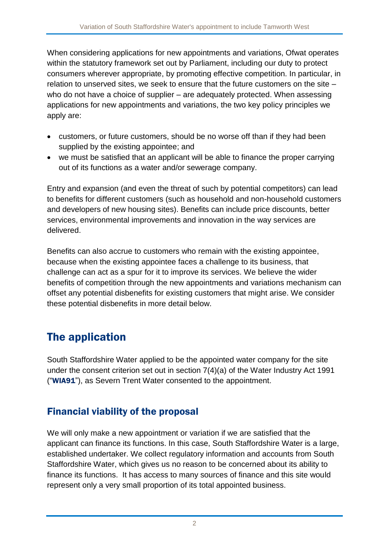When considering applications for new appointments and variations, Ofwat operates within the statutory framework set out by Parliament, including our duty to protect consumers wherever appropriate, by promoting effective competition. In particular, in relation to unserved sites, we seek to ensure that the future customers on the site – who do not have a choice of supplier – are adequately protected. When assessing applications for new appointments and variations, the two key policy principles we apply are:

- customers, or future customers, should be no worse off than if they had been supplied by the existing appointee; and
- we must be satisfied that an applicant will be able to finance the proper carrying out of its functions as a water and/or sewerage company.

Entry and expansion (and even the threat of such by potential competitors) can lead to benefits for different customers (such as household and non-household customers and developers of new housing sites). Benefits can include price discounts, better services, environmental improvements and innovation in the way services are delivered.

Benefits can also accrue to customers who remain with the existing appointee, because when the existing appointee faces a challenge to its business, that challenge can act as a spur for it to improve its services. We believe the wider benefits of competition through the new appointments and variations mechanism can offset any potential disbenefits for existing customers that might arise. We consider these potential disbenefits in more detail below.

# The application

South Staffordshire Water applied to be the appointed water company for the site under the consent criterion set out in section 7(4)(a) of the Water Industry Act 1991 ("WIA91"), as Severn Trent Water consented to the appointment.

### Financial viability of the proposal

We will only make a new appointment or variation if we are satisfied that the applicant can finance its functions. In this case, South Staffordshire Water is a large, established undertaker. We collect regulatory information and accounts from South Staffordshire Water, which gives us no reason to be concerned about its ability to finance its functions. It has access to many sources of finance and this site would represent only a very small proportion of its total appointed business.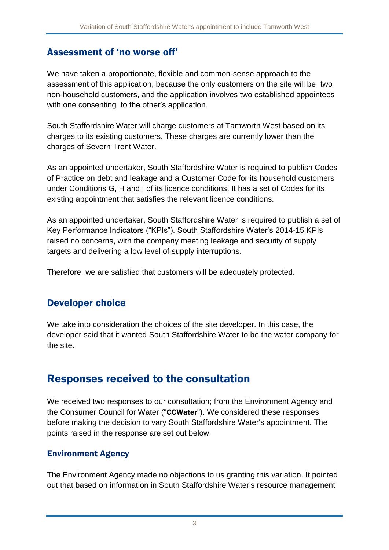#### Assessment of 'no worse off'

We have taken a proportionate, flexible and common-sense approach to the assessment of this application, because the only customers on the site will be two non-household customers, and the application involves two established appointees with one consenting to the other's application.

South Staffordshire Water will charge customers at Tamworth West based on its charges to its existing customers. These charges are currently lower than the charges of Severn Trent Water.

As an appointed undertaker, South Staffordshire Water is required to publish Codes of Practice on debt and leakage and a Customer Code for its household customers under Conditions G, H and I of its licence conditions. It has a set of Codes for its existing appointment that satisfies the relevant licence conditions.

As an appointed undertaker, South Staffordshire Water is required to publish a set of Key Performance Indicators ("KPIs"). South Staffordshire Water's 2014-15 KPIs raised no concerns, with the company meeting leakage and security of supply targets and delivering a low level of supply interruptions.

Therefore, we are satisfied that customers will be adequately protected.

### Developer choice

We take into consideration the choices of the site developer. In this case, the developer said that it wanted South Staffordshire Water to be the water company for the site.

## Responses received to the consultation

We received two responses to our consultation; from the Environment Agency and the Consumer Council for Water ("CCWater"). We considered these responses before making the decision to vary South Staffordshire Water's appointment. The points raised in the response are set out below.

#### Environment Agency

The Environment Agency made no objections to us granting this variation. It pointed out that based on information in South Staffordshire Water's resource management